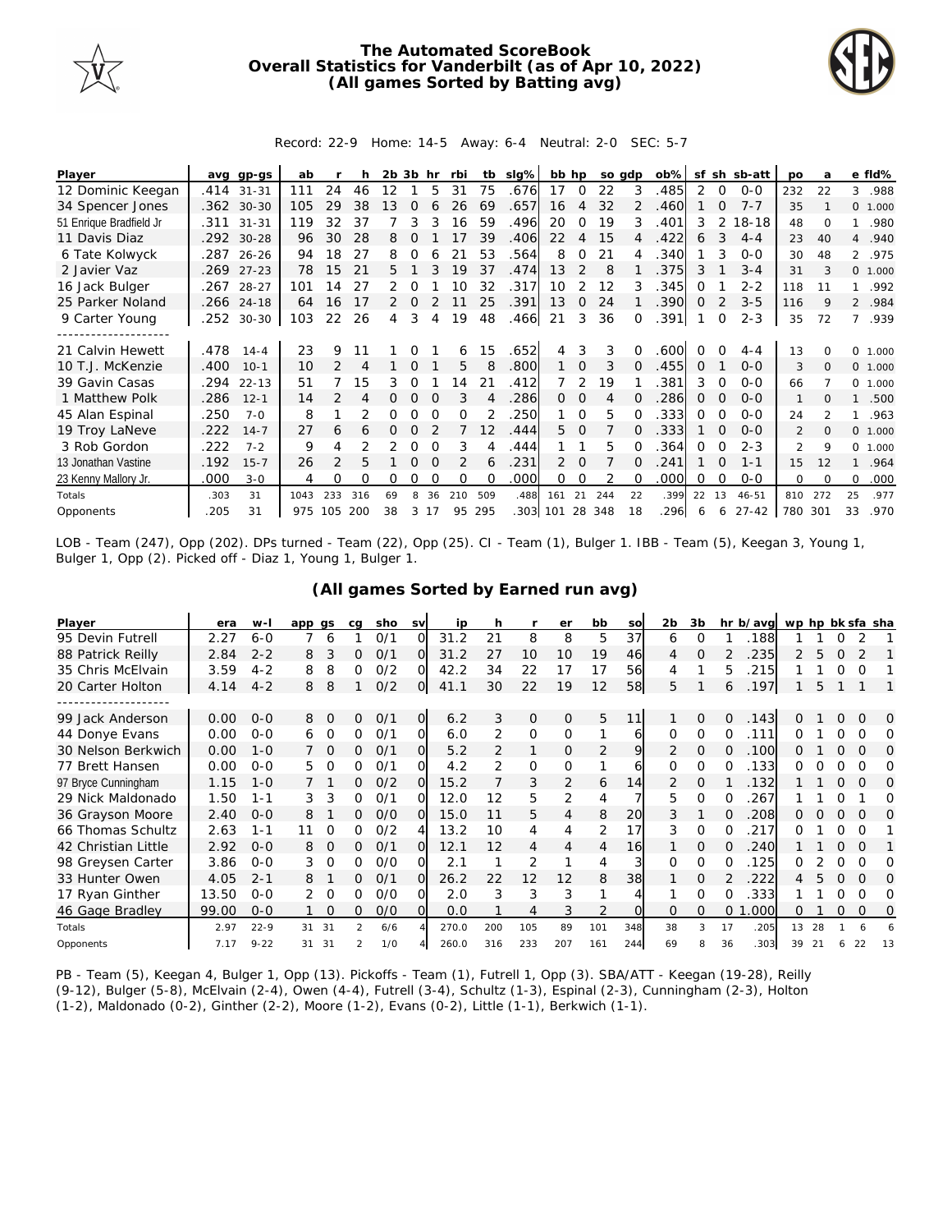

## **The Automated ScoreBook Overall Statistics for Vanderbilt (as of Apr 10, 2022) (All games Sorted by Batting avg)**



## Record: 22-9 Home: 14-5 Away: 6-4 Neutral: 2-0 SEC: 5-7

| Player                  | ava  | $qp-GS$    | ab   |                |     | 2b 3b |          | hr | rbi      | tb                | slg%     | bb hp |               |     | so adp | ob%  | sf       |          | sh sb-att | po             | a        |                | e fld%   |
|-------------------------|------|------------|------|----------------|-----|-------|----------|----|----------|-------------------|----------|-------|---------------|-----|--------|------|----------|----------|-----------|----------------|----------|----------------|----------|
| 12 Dominic Keegan       | .414 | $31 - 31$  | 111  | 24             | 46  | 12    |          | 5  | 31       | 75                | .676     | 17    | 0             | 22  | 3      | 485  | 2        | 0        | $0 - 0$   | 232            | 22       | 3              | .988     |
| 34 Spencer Jones        |      | .362 30-30 | 105  | 29             | 38  | 13    | $\Omega$ | 6  | 26       | 69                | .657     | 16    | 4             | 32  |        | 460  |          | $\Omega$ | $7 - 7$   | 35             |          |                | 0 1.000  |
| 51 Enrique Bradfield Jr | .311 | $31 - 31$  | 119  | 32             | 37  |       | 3        |    | 16       | 59                | .496     | 20    | 0             | 19  | 3      | .401 | 3        | 2        | $18 - 18$ | 48             | $\Omega$ |                | .980     |
| 11 Davis Diaz           |      | .292 30-28 | 96   | 30             | 28  | 8     |          |    |          | 39                | .406     | 22    | 4             | 15  | 4      | .422 | 6        | 3        | $4 - 4$   | 23             | 40       | $\overline{4}$ | .940     |
| 6 Tate Kolwyck          |      | .287 26-26 | 94   | 18             | 27  | 8     | 0        |    | 21       | 53                | .564     | 8     | 0             | 21  |        | .340 |          | 3        | $O-O$     | 30             | 48       |                | 2 .975   |
| 2 Javier Vaz            | .269 | $27 - 23$  | 78   | 15             | 21  | 5.    |          |    | 19       | 37                | .474     | 13    | $\mathcal{P}$ | 8   |        | 375  | 3        |          | $3 - 4$   | 31             | 3        |                | 0 1.000  |
| 16 Jack Bulger          | .267 | 28-27      | 101  | 14             | 27  | 2     |          |    | 10       | 32                | .317     | 10    | 2             | 12  |        | .345 | Ω        |          | $2 - 2$   | 118            | 11       |                | .992     |
| 25 Parker Noland        |      | .266 24-18 | 64   | 16             | 17  | 2     | $\Omega$ |    | 11       | 25                | .391     | 13    | 0             | 24  |        | .390 | 0        |          | $3 - 5$   | 116            | 9        |                | 2 .984   |
| 9 Carter Young          | .252 | $30 - 30$  | 103  | 22             | 26  | 4     | 3        | 4  | 19       | 48                | .466     | 21    | 3             | 36  |        | .391 |          | $\Omega$ | $2 - 3$   | 35             | 72       | 7              | .939     |
|                         |      |            |      |                |     |       |          |    |          |                   |          |       |               |     |        |      |          |          |           |                |          |                |          |
| 21 Calvin Hewett        | .478 | $14 - 4$   | 23   | 9              |     |       |          |    | 6        | 15                | .652     | 4     | 3             | 3   |        | 600  |          |          | $4 - 4$   | 13             |          | $\Omega$       | 1.000    |
| 10 T.J. McKenzie        | .400 | $10-1$     | 10   | $\mathcal{P}$  | 4   |       | $\Omega$ |    | 5        | 8                 | .800     | 1     | $\mathbf 0$   | 3   |        | .455 | $\Omega$ |          | $0 - 0$   | 3              | $\Omega$ |                | 0 1.000  |
| 39 Gavin Casas          | .294 | $22 - 13$  | 51   |                | 15  | 3     | 0        |    | 4        | 21                | .412     |       | 2             | 19  |        | .381 | 3        | 0        | $0 - 0$   | 66             |          |                | 0, 1,000 |
| 1 Matthew Polk          | .286 | $12 - 1$   | 14   |                | 4   |       | Ω        |    | 3        |                   | .286     | 0     | 0             | 4   |        | 286  | 0        |          | $O-O$     | $\mathbf{1}$   |          |                | .500     |
| 45 Alan Espinal         | .250 | $7 - 0$    | 8    |                |     | Ο     |          |    | O        |                   | 250      |       | $\Omega$      | 5   |        | 333  | 0        |          | $O-O$     | 24             |          |                | .963     |
| 19 Troy LaNeve          | .222 | $14 - 7$   | 27   | 6              | 6   | 0     | 0        |    |          | $12 \overline{ }$ | .444     | 5.    | $\Omega$      |     |        | 333  |          | $\Omega$ | $0 - 0$   | 2              | $\Omega$ | $\circ$        | 1.000    |
| 3 Rob Gordon            | .222 | $7 - 2$    | 9    | 4              |     | 2     | Ω        |    | 3        |                   | .444     |       |               | 5   |        | 364  | 0        | $\Omega$ | $2 - 3$   | $\mathfrak{D}$ | 9        | $\Omega$       | 1.000    |
| 13 Jonathan Vastine     | .192 | $15 - 7$   | 26   | $\mathfrak{D}$ | 5   |       | 0        |    | 2        | 6                 | .231     | 2     | $\Omega$      |     |        | 241  |          | $\Omega$ | $1 - 1$   | 15             | 12       |                | .964     |
| 23 Kenny Mallory Jr.    | .000 | $3 - 0$    | 4    | 0              | Ω   | 0     | Ω        |    | $\Omega$ | $\Omega$          | .000     | 0     | 0             |     |        | .000 | Ω        | $\Omega$ | $0 - 0$   | $\Omega$       | $\Omega$ | $\Omega$       | .000     |
| Totals                  | .303 | 31         | 1043 | 233            | 316 | 69    | 8        | 36 | 210      | 509               | .488     | 161   | 21            | 244 | 22     | .399 | 22       | 13       | $46 - 51$ | 810            | 272      | 25             | .977     |
| Opponents               | 205  | 31         | 975  | 105            | 200 | 38    | 3        | 17 | 95       | 295               | .303 101 |       | 28            | 348 | 18     | 296  | 6        | 6        | $27 - 42$ | 780            | 301      | 33             | .970     |

LOB - Team (247), Opp (202). DPs turned - Team (22), Opp (25). CI - Team (1), Bulger 1. IBB - Team (5), Keegan 3, Young 1, Bulger 1, Opp (2). Picked off - Diaz 1, Young 1, Bulger 1.

| Player              | era   | $W -$    | app gs        | cq            | sho | <b>SV</b>      | ip    | h             |         | er       | bb             | so       | 2b | 3b       |          | hr b/avg | wp hp bk sfa sha |    |          |          |    |
|---------------------|-------|----------|---------------|---------------|-----|----------------|-------|---------------|---------|----------|----------------|----------|----|----------|----------|----------|------------------|----|----------|----------|----|
| 95 Devin Futrell    | 2.27  | $6 - 0$  | 6             |               | 0/1 | $\Omega$       | 31.2  | 21            | 8       | 8        | 5              | 37       | 6  | $\Omega$ |          | 188      |                  |    |          |          |    |
| 88 Patrick Reilly   | 2.84  | $2 - 2$  | 3<br>8        | 0             | 0/1 | Ω              | 31.2  | 27            | 10      | 10       | 19             | 46       | 4  | $\Omega$ |          | 235      | 2                | 5  | $\Omega$ |          |    |
| 35 Chris McElvain   | 3.59  | $4 - 2$  | 8<br>8        | 0             | 0/2 | Ω              | 42.2  | 34            | 22      | 17       | 17             | 56       | 4  |          | 5        | 215      |                  |    |          | $\Omega$ |    |
| 20 Carter Holton    | 4.14  | $4 - 2$  | 8<br>8        |               | O/2 | O              | 41.1  | 30            | 22      | 19       | 12             | 58       | 5  |          | 6        | .197     |                  | 5  |          |          |    |
|                     |       |          |               |               |     |                |       |               |         |          |                |          |    |          |          |          |                  |    |          |          |    |
| 99 Jack Anderson    | 0.00  | $0 - 0$  | 8<br>$\Omega$ | $\Omega$      | O/1 | $\overline{O}$ | 6.2   | 3             | $\circ$ | $\circ$  | 5              | 11       |    | $\Omega$ | $\Omega$ | .143     | 0                |    | $\Omega$ | $\Omega$ | Ω  |
| 44 Donye Evans      | 0.00  | $0 - 0$  | 0<br>6        | 0             | 0/1 | 0              | 6.0   | 2             | $\circ$ | 0        |                | 61       | 0  | $\Omega$ | 0        | 111      | ∩                |    |          | Ω        | Ω  |
| 30 Nelson Berkwich  | 0.00  | $1 - 0$  | 0             | 0             | O/1 | $\Omega$       | 5.2   | 2             | 1       | 0        | 2              | 9        | 2  | $\Omega$ | 0        | .100     | 0                |    | 0        | O        | O  |
| 77 Brett Hansen     | 0.00  | $0 - 0$  | 5<br>O        | 0             | 0/1 | Ω              | 4.2   | $\mathcal{P}$ | O       | $\Omega$ |                | 6        | 0  | $\Omega$ |          | 133      | ∩                |    |          | ∩        | Ω  |
| 97 Bryce Cunningham | 1.15  | $1 - 0$  |               | 0             | O/2 | Ω              | 15.2  |               | 3       | 2        | 6              | 14       | 2  | $\Omega$ |          | 132      |                  |    | $\Omega$ | $\Omega$ | Ω  |
| 29 Nick Maldonado   | 1.50  | $1 - 1$  | 3<br>3        | 0             | O/1 | Ω              | 12.0  | 12            | 5       | 2        | 4              |          | 5  | $\Omega$ |          | 267      |                  |    |          |          | Ω  |
| 36 Grayson Moore    | 2.40  | $O - O$  | 8             | 0             | O/O | Ω              | 15.0  | 11            | 5       | 4        | 8              | 20       | 3  |          | Ω        | 208      | 0                |    | O        | $\Omega$ | O  |
| 66 Thomas Schultz   | 2.63  | $1 - 1$  | 11<br>O       | 0             | O/2 | 4              | 13.2  | 10            | 4       | 4        | 2              | 17       | 3  | $\Omega$ | O        | 217      | Ω                |    | O        | $\Omega$ |    |
| 42 Christian Little | 2.92  | $0 - 0$  | $\Omega$<br>8 | 0             | O/1 | $\Omega$       | 12.1  | 12            | 4       | 4        | 4              | 16       |    | $\Omega$ |          | 240      |                  |    | $\Omega$ | $\Omega$ |    |
| 98 Greysen Carter   | 3.86  | $O-O$    | 3<br>O        | 0             | O/O | Ω              | 2.1   |               | 2       |          | 4              |          | 0  | $\Omega$ | 0        | 125      | 0                |    | Ω        | 0        | Ω  |
| 33 Hunter Owen      | 4.05  | $2 - 1$  | 8             | 0             | O/1 | $\Omega$       | 26.2  | 22            | 12      | 12       | 8              | 38       |    | O        |          | 222      | 4                |    | 0        | $\Omega$ | O  |
| 17 Ryan Ginther     | 13.50 | $0 - 0$  | O             | 0             | O/O | O              | 2.0   | 3             | 3       | 3        |                |          |    | $\Omega$ | 0        | .333     |                  |    | Ω        | ∩        | Ω  |
| 46 Gage Bradley     | 99.00 | $O - O$  | $\Omega$      | 0             | O/O | Ω              | 0.0   |               | 4       | 3        | $\overline{2}$ | $\Omega$ | 0  | $\Omega$ | 0        | 000      | 0                |    | $\Omega$ | $\Omega$ | 0  |
| Totals              | 2.97  | $22 - 9$ | 31<br>31      | $\mathcal{P}$ | 6/6 |                | 270.0 | 200           | 105     | 89       | 101            | 348      | 38 | 3        | 17       | .205     | 13               | 28 |          |          |    |
| Opponents           | 7.17  | $9 - 22$ | 31<br>31      | 2             | 1/0 |                | 260.0 | 316           | 233     | 207      | 161            | 244      | 69 | 8        | 36       | 303      | 39               | 21 | ь        | 22       | 13 |

## **(All games Sorted by Earned run avg)**

PB - Team (5), Keegan 4, Bulger 1, Opp (13). Pickoffs - Team (1), Futrell 1, Opp (3). SBA/ATT - Keegan (19-28), Reilly (9-12), Bulger (5-8), McElvain (2-4), Owen (4-4), Futrell (3-4), Schultz (1-3), Espinal (2-3), Cunningham (2-3), Holton (1-2), Maldonado (0-2), Ginther (2-2), Moore (1-2), Evans (0-2), Little (1-1), Berkwich (1-1).